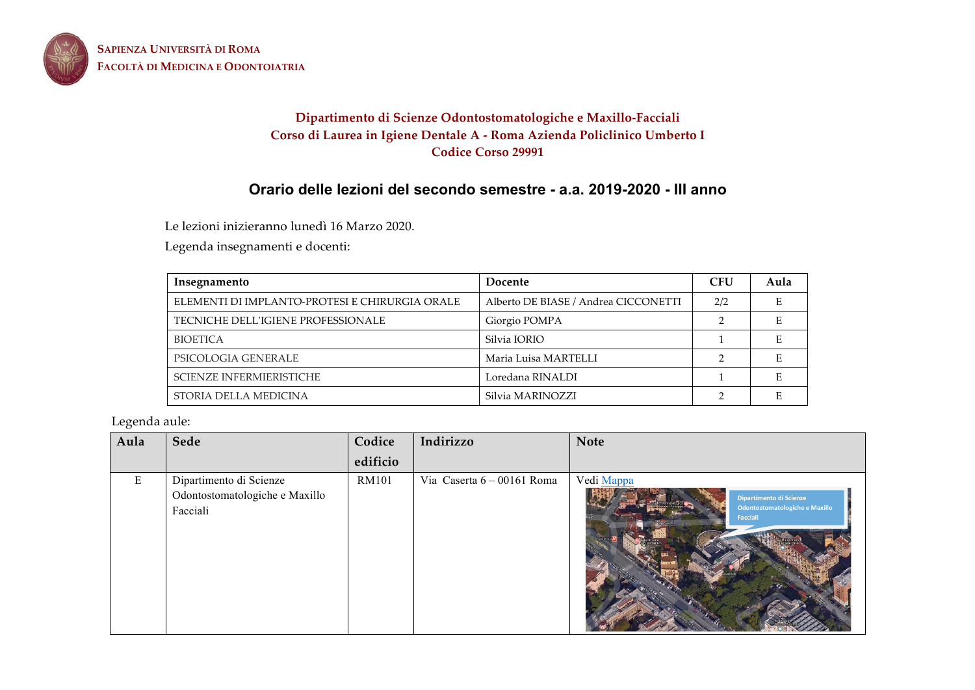

**SAPIENZA UNIVERSITÀ DI ROMA FACOLTÀ DI MEDICINA E ODONTOIATRIA**

# **Dipartimento di Scienze Odontostomatologiche e Maxillo-Facciali Corso di Laurea in Igiene Dentale A - Roma Azienda Policlinico Umberto I Codice Corso 29991**

# **Orario delle lezioni del secondo semestre - a.a. 2019-2020 - III anno**

Le lezioni inizieranno lunedì 16 Marzo 2020.

Legenda insegnamenti e docenti:

| Insegnamento                                   | Docente                              | <b>CFU</b> | Aula |
|------------------------------------------------|--------------------------------------|------------|------|
| ELEMENTI DI IMPLANTO-PROTESI E CHIRURGIA ORALE | Alberto DE BIASE / Andrea CICCONETTI | 2/2        |      |
| TECNICHE DELL'IGIENE PROFESSIONALE             | Giorgio POMPA                        |            |      |
| <b>BIOETICA</b>                                | Silvia IORIO                         |            |      |
| PSICOLOGIA GENERALE                            | Maria Luisa MARTELLI                 |            |      |
| <b>SCIENZE INFERMIERISTICHE</b>                | Loredana RINALDI                     |            |      |
| STORIA DELLA MEDICINA                          | Silvia MARINOZZI                     |            |      |

Legenda aule:

| Aula | Sede                                                                  | Codice       | Indirizzo                  | <b>Note</b>                                                                         |
|------|-----------------------------------------------------------------------|--------------|----------------------------|-------------------------------------------------------------------------------------|
|      |                                                                       | edificio     |                            |                                                                                     |
| Ε    | Dipartimento di Scienze<br>Odontostomatologiche e Maxillo<br>Facciali | <b>RM101</b> | Via Caserta 6 - 00161 Roma | Vedi Mappa<br>Dipartimento di Scienze<br>Odontostomatologiche e Maxillo<br>Facciali |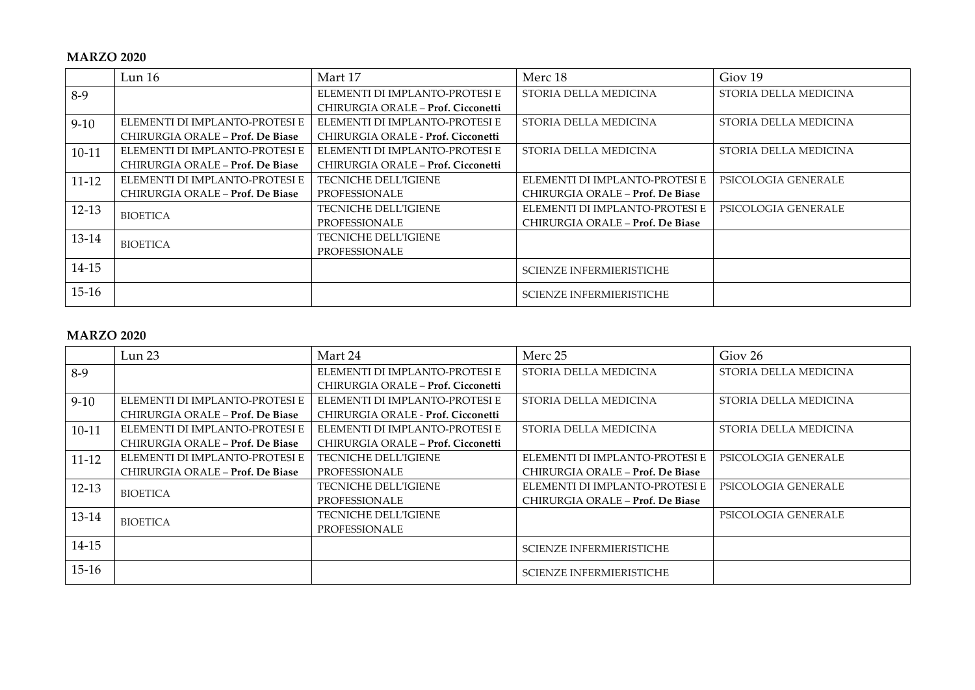#### **MARZO 2020**

|           | Lun 16                           | Mart 17                            | Merc 18                          | Giov <sub>19</sub>    |
|-----------|----------------------------------|------------------------------------|----------------------------------|-----------------------|
| $8-9$     |                                  | ELEMENTI DI IMPLANTO-PROTESI E     | STORIA DELLA MEDICINA            | STORIA DELLA MEDICINA |
|           |                                  | CHIRURGIA ORALE – Prof. Cicconetti |                                  |                       |
| $9-10$    | ELEMENTI DI IMPLANTO-PROTESI E   | ELEMENTI DI IMPLANTO-PROTESI E     | STORIA DELLA MEDICINA            | STORIA DELLA MEDICINA |
|           | CHIRURGIA ORALE - Prof. De Biase | CHIRURGIA ORALE - Prof. Cicconetti |                                  |                       |
| $10-11$   | ELEMENTI DI IMPLANTO-PROTESI E   | ELEMENTI DI IMPLANTO-PROTESI E     | STORIA DELLA MEDICINA            | STORIA DELLA MEDICINA |
|           | CHIRURGIA ORALE - Prof. De Biase | CHIRURGIA ORALE – Prof. Cicconetti |                                  |                       |
| $11 - 12$ | ELEMENTI DI IMPLANTO-PROTESI E   | <b>TECNICHE DELL'IGIENE</b>        | ELEMENTI DI IMPLANTO-PROTESI E   | PSICOLOGIA GENERALE   |
|           | CHIRURGIA ORALE - Prof. De Biase | PROFESSIONALE                      | CHIRURGIA ORALE - Prof. De Biase |                       |
| $12-13$   | <b>BIOETICA</b>                  | <b>TECNICHE DELL'IGIENE</b>        | ELEMENTI DI IMPLANTO-PROTESI E   | PSICOLOGIA GENERALE   |
|           |                                  | PROFESSIONALE                      | CHIRURGIA ORALE - Prof. De Biase |                       |
| 13-14     | <b>BIOETICA</b>                  | TECNICHE DELL'IGIENE               |                                  |                       |
|           |                                  | PROFESSIONALE                      |                                  |                       |
| 14-15     |                                  |                                    | <b>SCIENZE INFERMIERISTICHE</b>  |                       |
| $15-16$   |                                  |                                    | SCIENZE INFERMIERISTICHE         |                       |

### **MARZO 2020**

|           | Lun 23                           | Mart 24                            | Merc 25                          | Giov <sub>26</sub>    |
|-----------|----------------------------------|------------------------------------|----------------------------------|-----------------------|
| $8-9$     |                                  | ELEMENTI DI IMPLANTO-PROTESI E     | STORIA DELLA MEDICINA            | STORIA DELLA MEDICINA |
|           |                                  | CHIRURGIA ORALE – Prof. Cicconetti |                                  |                       |
| $9-10$    | ELEMENTI DI IMPLANTO-PROTESI E   | ELEMENTI DI IMPLANTO-PROTESI E     | STORIA DELLA MEDICINA            | STORIA DELLA MEDICINA |
|           | CHIRURGIA ORALE - Prof. De Biase | CHIRURGIA ORALE - Prof. Cicconetti |                                  |                       |
| $10-11$   | ELEMENTI DI IMPLANTO-PROTESI E   | ELEMENTI DI IMPLANTO-PROTESI E     | STORIA DELLA MEDICINA            | STORIA DELLA MEDICINA |
|           | CHIRURGIA ORALE - Prof. De Biase | CHIRURGIA ORALE – Prof. Cicconetti |                                  |                       |
| $11 - 12$ | ELEMENTI DI IMPLANTO-PROTESI E   | <b>TECNICHE DELL'IGIENE</b>        | ELEMENTI DI IMPLANTO-PROTESI E   | PSICOLOGIA GENERALE   |
|           | CHIRURGIA ORALE - Prof. De Biase | PROFESSIONALE                      | CHIRURGIA ORALE – Prof. De Biase |                       |
| $12 - 13$ | <b>BIOETICA</b>                  | <b>TECNICHE DELL'IGIENE</b>        | ELEMENTI DI IMPLANTO-PROTESI E   | PSICOLOGIA GENERALE   |
|           |                                  | PROFESSIONALE                      | CHIRURGIA ORALE - Prof. De Biase |                       |
| 13-14     | <b>BIOETICA</b>                  | TECNICHE DELL'IGIENE               |                                  | PSICOLOGIA GENERALE   |
|           |                                  | PROFESSIONALE                      |                                  |                       |
| 14-15     |                                  |                                    | SCIENZE INFERMIERISTICHE         |                       |
| $15-16$   |                                  |                                    | <b>SCIENZE INFERMIERISTICHE</b>  |                       |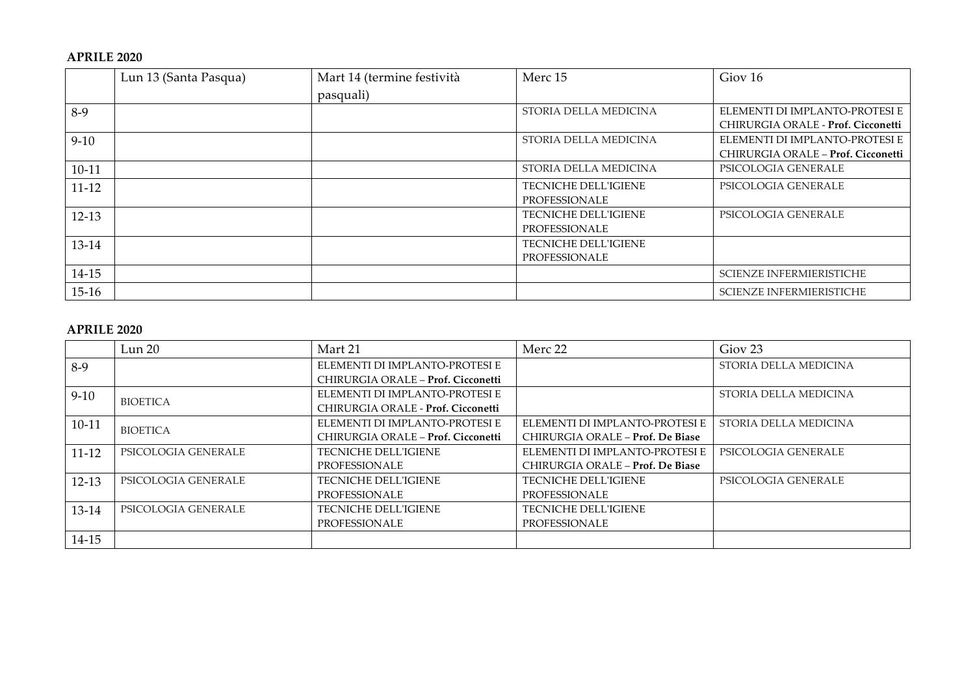#### **APRILE 2020**

|           | Lun 13 (Santa Pasqua) | Mart 14 (termine festività | Merc 15                     | Giov 16                            |
|-----------|-----------------------|----------------------------|-----------------------------|------------------------------------|
|           |                       | pasquali)                  |                             |                                    |
| $8-9$     |                       |                            | STORIA DELLA MEDICINA       | ELEMENTI DI IMPLANTO-PROTESI E     |
|           |                       |                            |                             | CHIRURGIA ORALE - Prof. Cicconetti |
| $9-10$    |                       |                            | STORIA DELLA MEDICINA       | ELEMENTI DI IMPLANTO-PROTESI E     |
|           |                       |                            |                             | CHIRURGIA ORALE - Prof. Cicconetti |
| $10-11$   |                       |                            | STORIA DELLA MEDICINA       | PSICOLOGIA GENERALE                |
| $11 - 12$ |                       |                            | TECNICHE DELL'IGIENE        | PSICOLOGIA GENERALE                |
|           |                       |                            | PROFESSIONALE               |                                    |
| $12 - 13$ |                       |                            | <b>TECNICHE DELL'IGIENE</b> | PSICOLOGIA GENERALE                |
|           |                       |                            | PROFESSIONALE               |                                    |
| 13-14     |                       |                            | <b>TECNICHE DELL'IGIENE</b> |                                    |
|           |                       |                            | PROFESSIONALE               |                                    |
| 14-15     |                       |                            |                             | SCIENZE INFERMIERISTICHE           |
| $15-16$   |                       |                            |                             | <b>SCIENZE INFERMIERISTICHE</b>    |

## **APRILE 2020**

|           | Lun 20              | Mart 21                            | Merc 22                          | Giov <sub>23</sub>    |
|-----------|---------------------|------------------------------------|----------------------------------|-----------------------|
| 8-9       |                     | ELEMENTI DI IMPLANTO-PROTESI E     |                                  | STORIA DELLA MEDICINA |
|           |                     | CHIRURGIA ORALE - Prof. Cicconetti |                                  |                       |
| $9 - 10$  | <b>BIOETICA</b>     | ELEMENTI DI IMPLANTO-PROTESI E     |                                  | STORIA DELLA MEDICINA |
|           |                     | CHIRURGIA ORALE - Prof. Cicconetti |                                  |                       |
| $10 - 11$ | <b>BIOETICA</b>     | ELEMENTI DI IMPLANTO-PROTESI E     | ELEMENTI DI IMPLANTO-PROTESI E   | STORIA DELLA MEDICINA |
|           |                     | CHIRURGIA ORALE - Prof. Cicconetti | CHIRURGIA ORALE - Prof. De Biase |                       |
| $11 - 12$ | PSICOLOGIA GENERALE | <b>TECNICHE DELL'IGIENE</b>        | ELEMENTI DI IMPLANTO-PROTESI E   | PSICOLOGIA GENERALE   |
|           |                     | PROFESSIONALE                      | CHIRURGIA ORALE - Prof. De Biase |                       |
| $12-13$   | PSICOLOGIA GENERALE | <b>TECNICHE DELL'IGIENE</b>        | <b>TECNICHE DELL'IGIENE</b>      | PSICOLOGIA GENERALE   |
|           |                     | PROFESSIONALE                      | PROFESSIONALE                    |                       |
| 13-14     | PSICOLOGIA GENERALE | TECNICHE DELL'IGIENE               | <b>TECNICHE DELL'IGIENE</b>      |                       |
|           |                     | PROFESSIONALE                      | PROFESSIONALE                    |                       |
| $14 - 15$ |                     |                                    |                                  |                       |